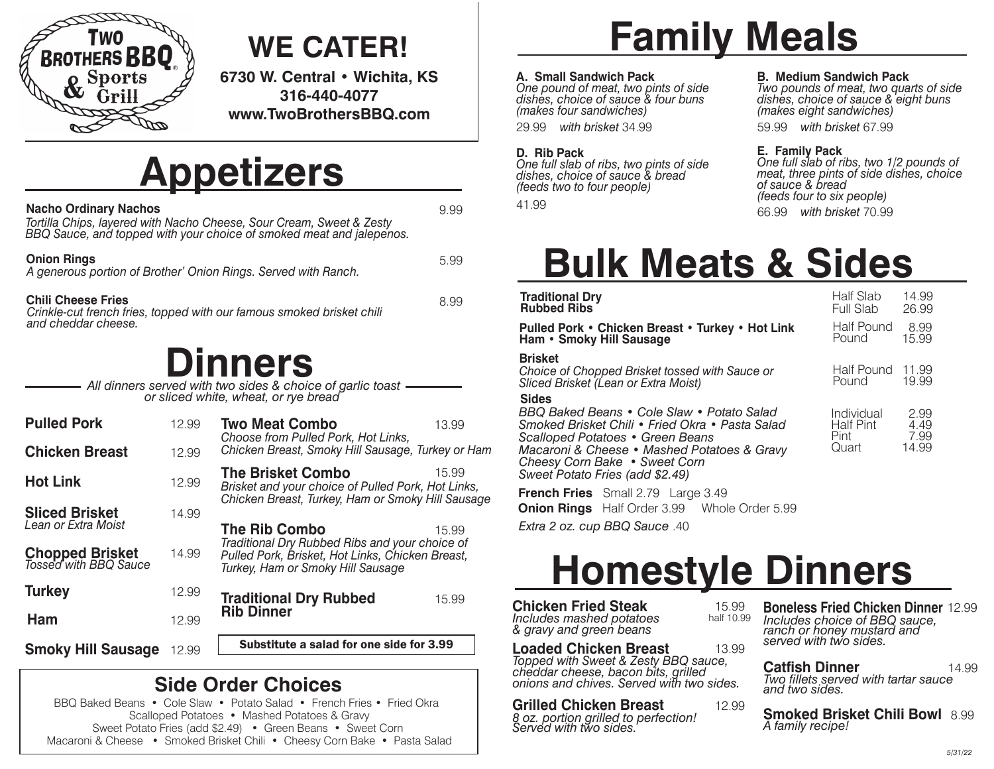

### **WE CATER!**

**6730 W. Central • Wichita, KS 316-440-4077 www.TwoBrothersBBQ.com**

### **Appetizers**

| <b>Nacho Ordinary Nachos</b><br>Tortilla Chips, layered with Nacho Cheese, Sour Cream, Sweet & Zesty<br>BBQ Sauce, and topped with your choice of smoked meat and jalepenos. | 9.99 |
|------------------------------------------------------------------------------------------------------------------------------------------------------------------------------|------|
| <b>Onion Rings</b><br>A generous portion of Brother' Onion Rings. Served with Ranch.                                                                                         | 5.99 |
| <b>Chili Cheese Fries</b><br>Crinkle-cut french fries, topped with our famous smoked brisket chili<br>and cheddar cheese.                                                    | 8.99 |
| <b>Dinners</b><br>All dinners served with two sides & choice of garlic toast<br>or sliced white, wheat, or rye bread                                                         |      |

| <b>Pulled Pork</b>                              | 12.99 | <b>Two Meat Combo</b><br>Choose from Pulled Pork, Hot Links,                                                                            | 13.99 |  |
|-------------------------------------------------|-------|-----------------------------------------------------------------------------------------------------------------------------------------|-------|--|
| <b>Chicken Breast</b>                           | 12.99 | Chicken Breast, Smoky Hill Sausage, Turkey or Ham                                                                                       |       |  |
| <b>Hot Link</b>                                 | 12.99 | <b>The Brisket Combo</b><br>Brisket and your choice of Pulled Pork, Hot Links,<br>Chicken Breast, Turkey, Ham or Smoky Hill Sausage     | 15.99 |  |
| <b>Sliced Brisket</b><br>Lean or Extra Moist    | 14.99 | The Rib Combo                                                                                                                           | 15.99 |  |
| <b>Chopped Brisket</b><br>Tossed with BBQ Sauce | 14.99 | Traditional Dry Rubbed Ribs and your choice of<br>Pulled Pork, Brisket, Hot Links, Chicken Breast,<br>Turkey, Ham or Smoky Hill Sausage |       |  |
| <b>Turkey</b>                                   | 12.99 | <b>Traditional Dry Rubbed</b>                                                                                                           | 15.99 |  |
| Ham                                             | 12.99 | <b>Rib Dinner</b>                                                                                                                       |       |  |
| <b>Smoky Hill Sausage</b>                       | 12.99 | Substitute a salad for one side for 3.99                                                                                                |       |  |

### **Side Order Choices**

BBQ Baked Beans • Cole Slaw • Potato Salad • French Fries • Fried Okra Scalloped Potatoes • Mashed Potatoes & Gravy Sweet Potato Fries (add \$2.49) • Green Beans • Sweet Corn Macaroni & Cheese • Smoked Brisket Chili • Cheesy Corn Bake • Pasta Salad

# **Family Meals**

#### **A. Small Sandwich Pack**

*One pound of meat, two pints of side dishes, choice of sauce & four buns (makes four sandwiches)*

29.99 *with brisket* 34.99 59.99 *with brisket* 67.99

#### **D. Rib Pack**

*One full slab of ribs, two pints of side dishes, choice of sauce & bread (feeds two to four people)*

#### **B. Medium Sandwich Pack**

*Two pounds of meat, two quarts of side dishes, choice of sauce & eight buns (makes eight sandwiches)*

#### **E. Family Pack**

41.99 66.99 *with brisket* 70.99 *One full slab of ribs, two 1/2 pounds of meat, three pints of side dishes, choice of sauce & bread (feeds four to six people)*

## **Bulk Meats & Sides**

| <b>Traditional Dry</b><br><b>Rubbed Ribs</b>                                                                                                                                                                                                                         | Half Slab<br>Full Slab                   | 14.99<br>26.99                |
|----------------------------------------------------------------------------------------------------------------------------------------------------------------------------------------------------------------------------------------------------------------------|------------------------------------------|-------------------------------|
| Pulled Pork • Chicken Breast • Turkey • Hot Link<br>Ham . Smoky Hill Sausage                                                                                                                                                                                         | Half Pound<br>Pound                      | 8.99<br>15.99                 |
| <b>Brisket</b><br>Choice of Chopped Brisket tossed with Sauce or<br>Sliced Brisket (Lean or Extra Moist)                                                                                                                                                             | Half Pound 11.99<br>Pound                | 19.99                         |
| <b>Sides</b><br>BBQ Baked Beans • Cole Slaw • Potato Salad<br>Smoked Brisket Chili • Fried Okra • Pasta Salad<br>Scalloped Potatoes • Green Beans<br>Macaroni & Cheese • Mashed Potatoes & Gravy<br>Cheesy Corn Bake • Sweet Corn<br>Sweet Potato Fries (add \$2.49) | Individual<br>Half Pint<br>Pint<br>Quart | 2.99<br>4.49<br>7.99<br>14.99 |
| <b>French Fries</b> Small 2.79 Large 3.49<br><b>Onion Rings</b> Half Order 3.99 Whole Order 5.99                                                                                                                                                                     |                                          |                               |
| Extra 2 oz. cup BBQ Sauce .40                                                                                                                                                                                                                                        |                                          |                               |

### **Homestyle Dinners**

**Chicken Fried Steak** 15.99<br>*Includes mashed potatoes* half 10.99 *Includes mashed potatoes & gravy and green beans*

**Loaded Chicken Breast** 13.99 *Topped with Sweet & Zesty BBQ sauce, cheddar cheese, bacon bits, grilled onions and chives. Served with two sides.*

**Grilled Chicken Breast** 12.99 *8 oz. portion grilled to perfection! Served with two sides.*

**Boneless Fried Chicken Dinner** 12.99 *Includes choice of BBQ sauce, ranch or honey mustard and served with two sides.*

**Catfish Dinner** 14.99 *Two fillets served with tartar sauce and two sides.*

**Smoked Brisket Chili Bowl** 8.99 *A family recipe!*